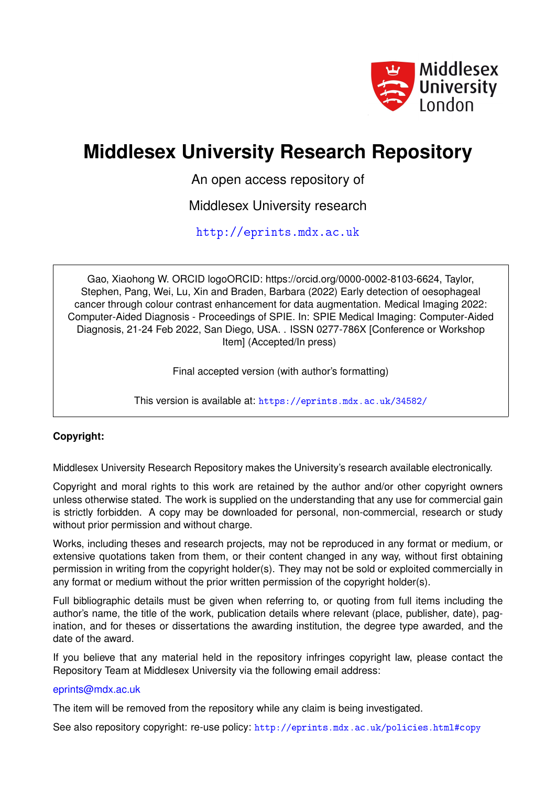

# **Middlesex University Research Repository**

An open access repository of

Middlesex University research

<http://eprints.mdx.ac.uk>

Gao, Xiaohong W. ORCID logoORCID: https://orcid.org/0000-0002-8103-6624, Taylor, Stephen, Pang, Wei, Lu, Xin and Braden, Barbara (2022) Early detection of oesophageal cancer through colour contrast enhancement for data augmentation. Medical Imaging 2022: Computer-Aided Diagnosis - Proceedings of SPIE. In: SPIE Medical Imaging: Computer-Aided Diagnosis, 21-24 Feb 2022, San Diego, USA. . ISSN 0277-786X [Conference or Workshop Item] (Accepted/In press)

Final accepted version (with author's formatting)

This version is available at: <https://eprints.mdx.ac.uk/34582/>

# **Copyright:**

Middlesex University Research Repository makes the University's research available electronically.

Copyright and moral rights to this work are retained by the author and/or other copyright owners unless otherwise stated. The work is supplied on the understanding that any use for commercial gain is strictly forbidden. A copy may be downloaded for personal, non-commercial, research or study without prior permission and without charge.

Works, including theses and research projects, may not be reproduced in any format or medium, or extensive quotations taken from them, or their content changed in any way, without first obtaining permission in writing from the copyright holder(s). They may not be sold or exploited commercially in any format or medium without the prior written permission of the copyright holder(s).

Full bibliographic details must be given when referring to, or quoting from full items including the author's name, the title of the work, publication details where relevant (place, publisher, date), pagination, and for theses or dissertations the awarding institution, the degree type awarded, and the date of the award.

If you believe that any material held in the repository infringes copyright law, please contact the Repository Team at Middlesex University via the following email address:

# [eprints@mdx.ac.uk](mailto:eprints@mdx.ac.uk)

The item will be removed from the repository while any claim is being investigated.

See also repository copyright: re-use policy: <http://eprints.mdx.ac.uk/policies.html#copy>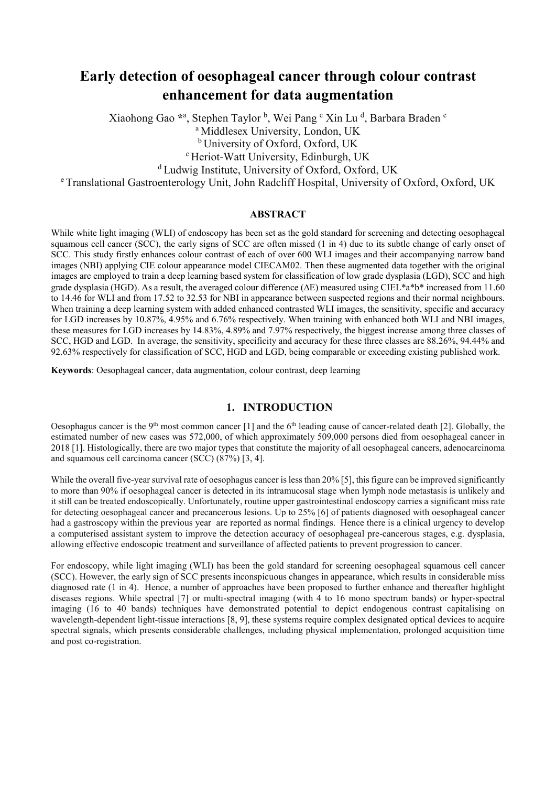# **Early detection of oesophageal cancer through colour contrast enhancement for data augmentation**

Xiaohong Gao \*<sup>a</sup>, Stephen Taylor <sup>b</sup>, Wei Pang <sup>c</sup> Xin Lu <sup>d</sup>, Barbara Braden <sup>e</sup>

<sup>a</sup> Middlesex University, London, UK <sup>b</sup> University of Oxford, Oxford, UK

<sup>c</sup> Heriot-Watt University, Edinburgh, UK

<sup>d</sup> Ludwig Institute, University of Oxford, Oxford, UK

<sup>e</sup> Translational Gastroenterology Unit, John Radcliff Hospital, University of Oxford, Oxford, UK

# **ABSTRACT**

While white light imaging (WLI) of endoscopy has been set as the gold standard for screening and detecting oesophageal squamous cell cancer (SCC), the early signs of SCC are often missed (1 in 4) due to its subtle change of early onset of SCC. This study firstly enhances colour contrast of each of over 600 WLI images and their accompanying narrow band images (NBI) applying CIE colour appearance model CIECAM02. Then these augmented data together with the original images are employed to train a deep learning based system for classification of low grade dysplasia (LGD), SCC and high grade dysplasia (HGD). As a result, the averaged colour difference (∆E) measured using CIEL\*a\*b\* increased from 11.60 to 14.46 for WLI and from 17.52 to 32.53 for NBI in appearance between suspected regions and their normal neighbours. When training a deep learning system with added enhanced contrasted WLI images, the sensitivity, specific and accuracy for LGD increases by 10.87%, 4.95% and 6.76% respectively. When training with enhanced both WLI and NBI images, these measures for LGD increases by 14.83%, 4.89% and 7.97% respectively, the biggest increase among three classes of SCC, HGD and LGD. In average, the sensitivity, specificity and accuracy for these three classes are 88.26%, 94.44% and 92.63% respectively for classification of SCC, HGD and LGD, being comparable or exceeding existing published work.

**Keywords**: Oesophageal cancer, data augmentation, colour contrast, deep learning

# **1. INTRODUCTION**

Oesophagus cancer is the 9<sup>th</sup> most common cancer [1] and the 6<sup>th</sup> leading cause of cancer-related death [2]. Globally, the estimated number of new cases was 572,000, of which approximately 509,000 persons died from oesophageal cancer in 2018 [1]. Histologically, there are two major types that constitute the majority of all oesophageal cancers, adenocarcinoma and squamous cell carcinoma cancer (SCC) (87%) [3, 4].

While the overall five-year survival rate of oesophagus cancer is less than 20% [5], this figure can be improved significantly to more than 90% if oesophageal cancer is detected in its intramucosal stage when lymph node metastasis is unlikely and it still can be treated endoscopically. Unfortunately, routine upper gastrointestinal endoscopy carries a significant miss rate for detecting oesophageal cancer and precancerous lesions. Up to 25% [6] of patients diagnosed with oesophageal cancer had a gastroscopy within the previous year are reported as normal findings. Hence there is a clinical urgency to develop a computerised assistant system to improve the detection accuracy of oesophageal pre-cancerous stages, e.g. dysplasia, allowing effective endoscopic treatment and surveillance of affected patients to prevent progression to cancer.

For endoscopy, while light imaging (WLI) has been the gold standard for screening oesophageal squamous cell cancer (SCC). However, the early sign of SCC presents inconspicuous changes in appearance, which results in considerable miss diagnosed rate (1 in 4). Hence, a number of approaches have been proposed to further enhance and thereafter highlight diseases regions. While spectral [7] or multi-spectral imaging (with 4 to 16 mono spectrum bands) or hyper-spectral imaging (16 to 40 bands) techniques have demonstrated potential to depict endogenous contrast capitalising on wavelength-dependent light-tissue interactions [8, 9], these systems require complex designated optical devices to acquire spectral signals, which presents considerable challenges, including physical implementation, prolonged acquisition time and post co-registration.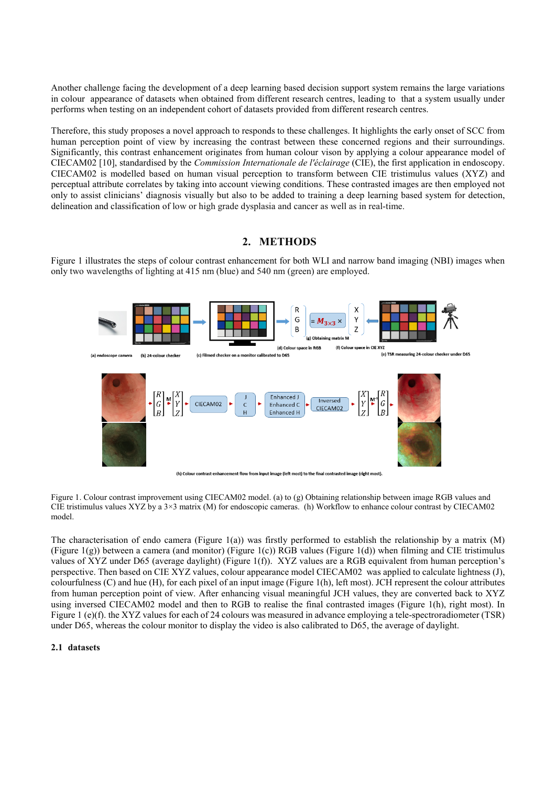Another challenge facing the development of a deep learning based decision support system remains the large variations in colour appearance of datasets when obtained from different research centres, leading to that a system usually under performs when testing on an independent cohort of datasets provided from different research centres.

Therefore, this study proposes a novel approach to responds to these challenges. It highlights the early onset of SCC from human perception point of view by increasing the contrast between these concerned regions and their surroundings. Significantly, this contrast enhancement originates from human colour vison by applying a colour appearance model of CIECAM02 [10], standardised by the *Commission Internationale de l'éclairage* (CIE), the first application in endoscopy. CIECAM02 is modelled based on human visual perception to transform between CIE tristimulus values (XYZ) and perceptual attribute correlates by taking into account viewing conditions. These contrasted images are then employed not only to assist clinicians' diagnosis visually but also to be added to training a deep learning based system for detection, delineation and classification of low or high grade dysplasia and cancer as well as in real-time.

# **2. METHODS**

Figure 1 illustrates the steps of colour contrast enhancement for both WLI and narrow band imaging (NBI) images when only two wavelengths of lighting at 415 nm (blue) and 540 nm (green) are employed.



ent flow from input image (left most) to the final contrasted image (right most). (b) Colour contrast enha

Figure 1. Colour contrast improvement using CIECAM02 model. (a) to (g) Obtaining relationship between image RGB values and CIE tristimulus values XYZ by a 3×3 matrix (M) for endoscopic cameras. (h) Workflow to enhance colour contrast by CIECAM02 model.

The characterisation of endo camera (Figure 1(a)) was firstly performed to establish the relationship by a matrix (M) (Figure 1(g)) between a camera (and monitor) (Figure 1(c)) RGB values (Figure 1(d)) when filming and CIE tristimulus values of XYZ under D65 (average daylight) (Figure 1(f)). XYZ values are a RGB equivalent from human perception's perspective. Then based on CIE XYZ values, colour appearance model CIECAM02 was applied to calculate lightness (J), colourfulness (C) and hue (H), for each pixel of an input image (Figure 1(h), left most). JCH represent the colour attributes from human perception point of view. After enhancing visual meaningful JCH values, they are converted back to XYZ using inversed CIECAM02 model and then to RGB to realise the final contrasted images (Figure 1(h), right most). In Figure 1 (e)(f). the XYZ values for each of 24 colours was measured in advance employing a tele-spectroradiometer (TSR) under D65, whereas the colour monitor to display the video is also calibrated to D65, the average of daylight.

#### **2.1 datasets**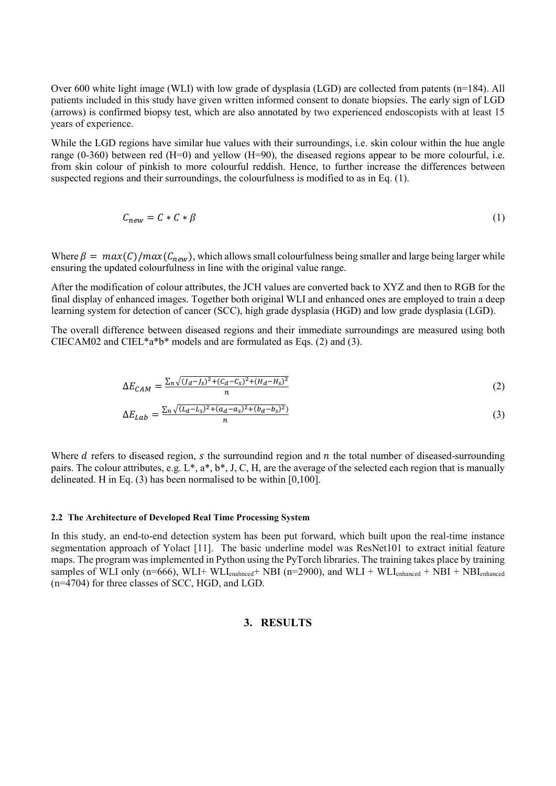Over 600 white light image (WLI) with low grade of dysplasia (LGD) are collected from patents (n=184). All patients included in this study have given written informed consent to donate biopsies. The early sign of LGD (arrows) is confirmed biopsy test, which are also annotated by two experienced endoscopists with at least 15 years of experience.

While the LGD regions have similar hue values with their surroundings, i.e. skin colour within the hue angle range (0-360) between red (H=0) and yellow (H=90), the diseased regions appear to be more colourful, i.e. from skin colour of pinkish to more colourful reddish. Hence, to further increase the differences between suspected regions and their surroundings, the colourfulness is modified to as in Eq. (1).

$$
C_{new} = C * C * \beta \tag{1}
$$

Where  $\beta = max(C)/max(C_{new})$ , which allows small colourfulness being smaller and large being larger while ensuring the updated colourfulness in line with the original value range.

After the modification of colour attributes, the JCH values are converted back to XYZ and then to RGB for the final display of enhanced images. Together both original WLI and enhanced ones are employed to train a deep learning system for detection of cancer (SCC), high grade dysplasia (HGD) and low grade dysplasia (LGD).

The overall difference between diseased regions and their immediate surroundings are measured using both CIECAM02 and CIEL\*a\*b\* models and are formulated as Eqs. (2) and (3).

$$
\Delta E_{CAM} = \frac{\sum_{n} \sqrt{(J_d - J_s)^2 + (C_d - C_s)^2 + (H_d - H_s)^2}}{n}
$$
\n(2)

$$
\Delta E_{Lab} = \frac{\sum_{n} \sqrt{(L_d - L_s)^2 + (a_d - a_s)^2 + (b_d - b_s)^2}}{n} \tag{3}
$$

Where  $d$  refers to diseased region,  $s$  the surroundind region and  $n$  the total number of diseased-surrounding pairs. The colour attributes, e.g. L\*, a\*, b\*, J, C, H, are the average of the selected each region that is manually delineated. H in Eq. (3) has been normalised to be within [0,100].

#### **2.2 The Architecture of Developed Real Time Processing System**

In this study, an end-to-end detection system has been put forward, which built upon the real-time instance segmentation approach of Yolact [11]. The basic underline model was ResNet101 to extract initial feature maps. The program was implemented in Python using the PyTorch libraries. The training takes place by training samples of WLI only (n=666), WLI+ WLI<sub>enahnced</sub>+ NBI (n=2900), and WLI + WLI<sub>enhanced</sub> + NBI + NBI<sub>enhanced</sub> (n=4704) for three classes of SCC, HGD, and LGD.

# **3. RESULTS**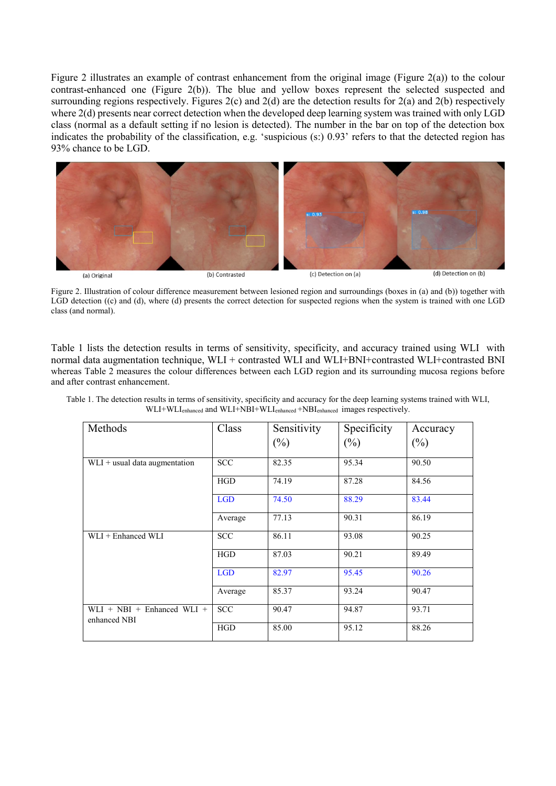Figure 2 illustrates an example of contrast enhancement from the original image (Figure 2(a)) to the colour contrast-enhanced one (Figure 2(b)). The blue and yellow boxes represent the selected suspected and surrounding regions respectively. Figures 2(c) and 2(d) are the detection results for 2(a) and 2(b) respectively where 2(d) presents near correct detection when the developed deep learning system was trained with only LGD class (normal as a default setting if no lesion is detected). The number in the bar on top of the detection box indicates the probability of the classification, e.g. 'suspicious (s:) 0.93' refers to that the detected region has 93% chance to be LGD.



Figure 2. Illustration of colour difference measurement between lesioned region and surroundings (boxes in (a) and (b)) together with LGD detection ((c) and (d), where (d) presents the correct detection for suspected regions when the system is trained with one LGD class (and normal).

Table 1 lists the detection results in terms of sensitivity, specificity, and accuracy trained using WLI with normal data augmentation technique, WLI + contrasted WLI and WLI+BNI+contrasted WLI+contrasted BNI whereas Table 2 measures the colour differences between each LGD region and its surrounding mucosa regions before and after contrast enhancement.

| Methods                                      | Class      | Sensitivity | Specificity | Accuracy |  |
|----------------------------------------------|------------|-------------|-------------|----------|--|
|                                              |            | $(\%)$      | $(\%)$      | $(\%)$   |  |
| $WLI +$ usual data augmentation              | <b>SCC</b> | 82.35       | 95.34       | 90.50    |  |
|                                              | <b>HGD</b> | 74.19       | 87.28       | 84.56    |  |
|                                              | <b>LGD</b> | 74.50       | 88.29       | 83.44    |  |
|                                              | Average    | 77.13       | 90.31       | 86.19    |  |
| WLI + Enhanced WLI                           | <b>SCC</b> | 86.11       | 93.08       | 90.25    |  |
|                                              | <b>HGD</b> | 87.03       | 90.21       | 89.49    |  |
|                                              | <b>LGD</b> | 82.97       | 95.45       | 90.26    |  |
|                                              | Average    | 85.37       | 93.24       | 90.47    |  |
| $WLI + NBI + Ehhanced WLI +$<br>enhanced NBI | <b>SCC</b> | 90.47       | 94.87       | 93.71    |  |
|                                              | <b>HGD</b> | 85.00       | 95.12       | 88.26    |  |

Table 1. The detection results in terms of sensitivity, specificity and accuracy for the deep learning systems trained with WLI, WLI+WLIenhanced and WLI+NBI+WLIenhanced +NBIenhanced images respectively.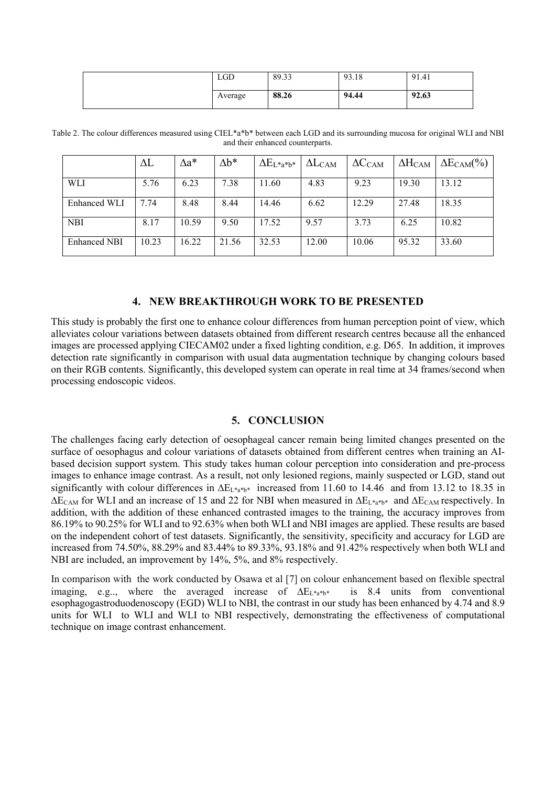| <b>LGD</b> | 89.33 | 93.18 | 91.41 |
|------------|-------|-------|-------|
| Average    | 88.26 | 94.44 | 92.63 |

Table 2. The colour differences measured using CIEL\*a\*b\* between each LGD and its surrounding mucosa for original WLI and NBI and their enhanced counterparts.

|                     | $\Delta L$ | $\Delta a^*$ | $\Delta b^*$ | $\Delta E_{L^*a^*b^*}$ | $\Delta L_{CAM}$ | $\Delta C_{\rm CAM}$ | $\Delta H_{\rm CAM}$ | $\Delta E_{\rm CAM}(\%)$ |
|---------------------|------------|--------------|--------------|------------------------|------------------|----------------------|----------------------|--------------------------|
| WLI                 | 5.76       | 6.23         | 7.38         | 11.60                  | 4.83             | 9.23                 | 19.30                | 13.12                    |
| Enhanced WLI        | 7.74       | 8.48         | 8.44         | 14.46                  | 6.62             | 12.29                | 27.48                | 18.35                    |
| <b>NBI</b>          | 8.17       | 10.59        | 9.50         | 17.52                  | 9.57             | 3.73                 | 6.25                 | 10.82                    |
| <b>Enhanced NBI</b> | 10.23      | 16.22        | 21.56        | 32.53                  | 12.00            | 10.06                | 95.32                | 33.60                    |

# **4. NEW BREAKTHROUGH WORK TO BE PRESENTED**

This study is probably the first one to enhance colour differences from human perception point of view, which alleviates colour variations between datasets obtained from different research centres because all the enhanced images are processed applying CIECAM02 under a fixed lighting condition, e.g. D65. In addition, it improves detection rate significantly in comparison with usual data augmentation technique by changing colours based on their RGB contents. Significantly, this developed system can operate in real time at 34 frames/second when processing endoscopic videos.

# **5. CONCLUSION**

The challenges facing early detection of oesophageal cancer remain being limited changes presented on the surface of oesophagus and colour variations of datasets obtained from different centres when training an AIbased decision support system. This study takes human colour perception into consideration and pre-process images to enhance image contrast. As a result, not only lesioned regions, mainly suspected or LGD, stand out significantly with colour differences in  $\Delta E_{L^*a^*b^*}$  increased from 11.60 to 14.46 and from 13.12 to 18.35 in ∆ECAM for WLI and an increase of 15 and 22 for NBI when measured in ∆EL\*a\*b\* and ∆ECAM respectively. In addition, with the addition of these enhanced contrasted images to the training, the accuracy improves from 86.19% to 90.25% for WLI and to 92.63% when both WLI and NBI images are applied. These results are based on the independent cohort of test datasets. Significantly, the sensitivity, specificity and accuracy for LGD are increased from 74.50%, 88.29% and 83.44% to 89.33%, 93.18% and 91.42% respectively when both WLI and NBI are included, an improvement by 14%, 5%, and 8% respectively.

In comparison with the work conducted by Osawa et al [7] on colour enhancement based on flexible spectral imaging, e.g.., where the averaged increase of  $\Delta E_{L*}$ <sub>a\*b\*</sub> is 8.4 units from conventional esophagogastroduodenoscopy (EGD) WLI to NBI, the contrast in our study has been enhanced by 4.74 and 8.9 units for WLI to WLI and WLI to NBI respectively, demonstrating the effectiveness of computational technique on image contrast enhancement.